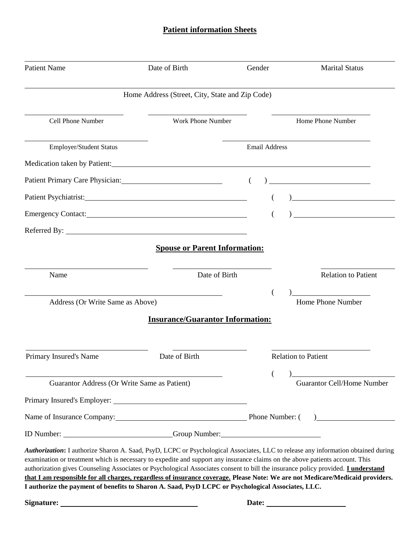## **Patient information Sheets**

| <b>Patient Name</b>                          | Date of Birth                                                                                                                                                                                                                                                                                                                                                                                                                                                                                                                                                                                                                                        | Gender               | <b>Marital Status</b>                                                                                                |
|----------------------------------------------|------------------------------------------------------------------------------------------------------------------------------------------------------------------------------------------------------------------------------------------------------------------------------------------------------------------------------------------------------------------------------------------------------------------------------------------------------------------------------------------------------------------------------------------------------------------------------------------------------------------------------------------------------|----------------------|----------------------------------------------------------------------------------------------------------------------|
|                                              | Home Address (Street, City, State and Zip Code)                                                                                                                                                                                                                                                                                                                                                                                                                                                                                                                                                                                                      |                      |                                                                                                                      |
| Cell Phone Number                            | <b>Work Phone Number</b>                                                                                                                                                                                                                                                                                                                                                                                                                                                                                                                                                                                                                             |                      | Home Phone Number                                                                                                    |
| Employer/Student Status                      |                                                                                                                                                                                                                                                                                                                                                                                                                                                                                                                                                                                                                                                      | <b>Email Address</b> |                                                                                                                      |
|                                              | Medication taken by Patient: New York Channels and School and School and School and School and School and School and School and School and School and School and School and School and School and School and School and School                                                                                                                                                                                                                                                                                                                                                                                                                       |                      |                                                                                                                      |
|                                              | Patient Primary Care Physician: 2003 and 2012 and 2013 and 2013 and 2013 and 2013 and 2013 and 2013 and 2013 and 2013 and 2013 and 2013 and 2013 and 2013 and 2013 and 2013 and 2013 and 2013 and 2013 and 2013 and 2013 and 2                                                                                                                                                                                                                                                                                                                                                                                                                       | $\left($             | <u> 1989 - Johann Barbara, martxa eta idazlea </u>                                                                   |
|                                              |                                                                                                                                                                                                                                                                                                                                                                                                                                                                                                                                                                                                                                                      |                      | <u> 1980 - Johann Barn, mars ar breist fan de Fryske kommunent fan de ferstjerke fan de ferstjerke fan de ferstj</u> |
|                                              | Emergency Contact: New York 2014                                                                                                                                                                                                                                                                                                                                                                                                                                                                                                                                                                                                                     |                      |                                                                                                                      |
|                                              |                                                                                                                                                                                                                                                                                                                                                                                                                                                                                                                                                                                                                                                      |                      |                                                                                                                      |
|                                              | <b>Spouse or Parent Information:</b>                                                                                                                                                                                                                                                                                                                                                                                                                                                                                                                                                                                                                 |                      |                                                                                                                      |
| Name                                         | Date of Birth                                                                                                                                                                                                                                                                                                                                                                                                                                                                                                                                                                                                                                        |                      | <b>Relation to Patient</b>                                                                                           |
| Address (Or Write Same as Above)             |                                                                                                                                                                                                                                                                                                                                                                                                                                                                                                                                                                                                                                                      |                      | Home Phone Number                                                                                                    |
|                                              | <b>Insurance/Guarantor Information:</b>                                                                                                                                                                                                                                                                                                                                                                                                                                                                                                                                                                                                              |                      |                                                                                                                      |
|                                              |                                                                                                                                                                                                                                                                                                                                                                                                                                                                                                                                                                                                                                                      |                      |                                                                                                                      |
| Primary Insured's Name                       | Date of Birth                                                                                                                                                                                                                                                                                                                                                                                                                                                                                                                                                                                                                                        |                      | <b>Relation to Patient</b>                                                                                           |
| Guarantor Address (Or Write Same as Patient) |                                                                                                                                                                                                                                                                                                                                                                                                                                                                                                                                                                                                                                                      |                      | <b>Guarantor Cell/Home Number</b>                                                                                    |
|                                              |                                                                                                                                                                                                                                                                                                                                                                                                                                                                                                                                                                                                                                                      |                      |                                                                                                                      |
|                                              | Name of Insurance Company: Phone Number: ()                                                                                                                                                                                                                                                                                                                                                                                                                                                                                                                                                                                                          |                      |                                                                                                                      |
|                                              | ID Number: Croup Number: Contact Number:                                                                                                                                                                                                                                                                                                                                                                                                                                                                                                                                                                                                             |                      |                                                                                                                      |
|                                              | Authorization: I authorize Sharon A. Saad, PsyD, LCPC or Psychological Associates, LLC to release any information obtained during<br>examination or treatment which is necessary to expedite and support any insurance claims on the above patients account. This<br>authorization gives Counseling Associates or Psychological Associates consent to bill the insurance policy provided. <i>I understand</i><br>that I am responsible for all charges, regardless of insurance coverage. Please Note: We are not Medicare/Medicaid providers.<br>I authorize the payment of benefits to Sharon A. Saad, PsyD LCPC or Psychological Associates, LLC. |                      |                                                                                                                      |
|                                              |                                                                                                                                                                                                                                                                                                                                                                                                                                                                                                                                                                                                                                                      |                      |                                                                                                                      |
|                                              |                                                                                                                                                                                                                                                                                                                                                                                                                                                                                                                                                                                                                                                      |                      |                                                                                                                      |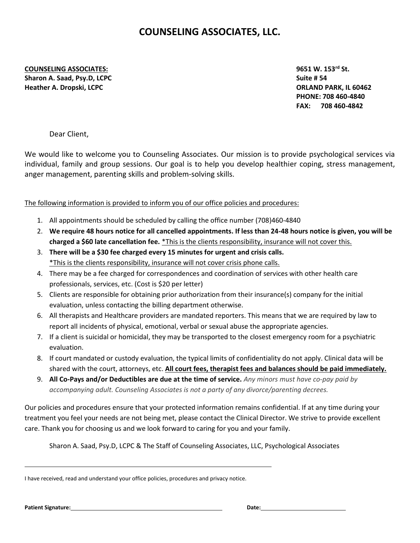## **COUNSELING ASSOCIATES, LLC.**

**COUNSELING ASSOCIATES: 9651 W. 153rd St. Sharon A. Saad, Psy.D, LCPC** Suite # 54 **Heather A. Dropski, LCPC ORLAND PARK, IL 60462**

**PHONE: 708 460-4840 FAX: 708 460-4842**

Dear Client,

We would like to welcome you to Counseling Associates. Our mission is to provide psychological services via individual, family and group sessions. Our goal is to help you develop healthier coping, stress management, anger management, parenting skills and problem-solving skills.

The following information is provided to inform you of our office policies and procedures:

- 1. All appointments should be scheduled by calling the office number (708)460-4840
- 2. **We require 48 hours notice for all cancelled appointments. If less than 24-48 hours notice is given, you will be charged a \$60 late cancellation fee.** \*This is the clients responsibility, insurance will not cover this.
- 3. **There will be a \$30 fee charged every 15 minutes for urgent and crisis calls.** \*This is the clients responsibility, insurance will not cover crisis phone calls.
- 4. There may be a fee charged for correspondences and coordination of services with other health care professionals, services, etc. (Cost is \$20 per letter)
- 5. Clients are responsible for obtaining prior authorization from their insurance(s) company for the initial evaluation, unless contacting the billing department otherwise.
- 6. All therapists and Healthcare providers are mandated reporters. This means that we are required by law to report all incidents of physical, emotional, verbal or sexual abuse the appropriate agencies.
- 7. If a client is suicidal or homicidal, they may be transported to the closest emergency room for a psychiatric evaluation.
- 8. If court mandated or custody evaluation, the typical limits of confidentiality do not apply. Clinical data will be shared with the court, attorneys, etc. **All court fees, therapist fees and balances should be paid immediately.**
- 9. **All Co-Pays and/or Deductibles are due at the time of service.** *Any minors must have co-pay paid by accompanying adult. Counseling Associates is not a party of any divorce/parenting decrees.*

Our policies and procedures ensure that your protected information remains confidential. If at any time during your treatment you feel your needs are not being met, please contact the Clinical Director. We strive to provide excellent care. Thank you for choosing us and we look forward to caring for you and your family.

Sharon A. Saad, Psy.D, LCPC & The Staff of Counseling Associates, LLC, Psychological Associates

I have received, read and understand your office policies, procedures and privacy notice.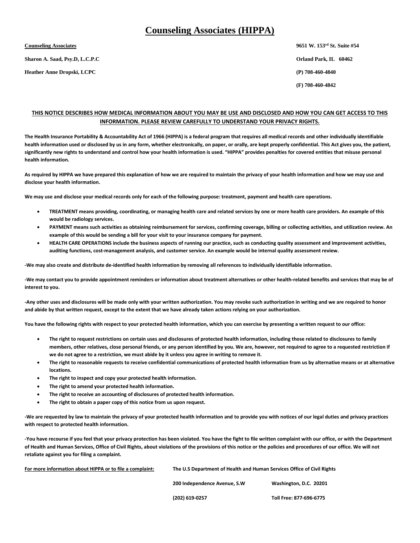### **Counseling Associates (HIPPA)**

**Sharon A. Saad, Psy.D, L.C.P.C Orland Park, IL 60462**

**Heather Anne Dropski, LCPC (P) 708-460-4840**

**Counseling Associates 9651 W. 153<sup>rd</sup> St. Suite #54 (F) 708-460-4842**

#### **THIS NOTICE DESCRIBES HOW MEDICAL INFORMATION ABOUT YOU MAY BE USE AND DISCLOSED AND HOW YOU CAN GET ACCESS TO THIS INFORMATION. PLEASE REVIEW CAREFULLY TO UNDERSTAND YOUR PRIVACY RIGHTS.**

**The Health Insurance Portability & Accountability Act of 1966 (HIPPA) is a federal program that requires all medical records and other individually identifiable health information used or disclosed by us in any form, whether electronically, on paper, or orally, are kept properly confidential. This Act gives you, the patient, significantly new rights to understand and control how your health information is used. "HIPPA" provides penalties for covered entities that misuse personal health information.** 

**As required by HIPPA we have prepared this explanation of how we are required to maintain the privacy of your health information and how we may use and disclose your health information.** 

**We may use and disclose your medical records only for each of the following purpose: treatment, payment and health care operations.**

- **TREATMENT means providing, coordinating, or managing health care and related services by one or more health care providers. An example of this would be radiology services.**
- **PAYMENT means such activities as obtaining reimbursement for services, confirming coverage, billing or collecting activities, and utilization review. An example of this would be sending a bill for your visit to your insurance company for payment.**
- **HEALTH CARE OPERATIONS include the business aspects of running our practice, such as conducting quality assessment and improvement activities, auditing functions, cost-management analysis, and customer service. An example would be internal quality assessment review.**

**-We may also create and distribute de-identified health information by removing all references to individually identifiable information.**

**-We may contact you to provide appointment reminders or information about treatment alternatives or other health-related benefits and services that may be of interest to you.**

**-Any other uses and disclosures will be made only with your written authorization. You may revoke such authorization in writing and we are required to honor and abide by that written request, except to the extent that we have already taken actions relying on your authorization.** 

**You have the following rights with respect to your protected health information, which you can exercise by presenting a written request to our office:**

- **The right to request restrictions on certain uses and disclosures of protected health information, including those related to disclosures to family members, other relatives, close personal friends, or any person identified by you. We are, however, not required to agree to a requested restriction if we do not agree to a restriction, we must abide by it unless you agree in writing to remove it.**
- **The right to reasonable requests to receive confidential communications of protected health information from us by alternative means or at alternative locations.**
- **The right to inspect and copy your protected health information.**
- **The right to amend your protected health information.**
- **The right to receive an accounting of disclosures of protected health information.**
- **The right to obtain a paper copy of this notice from us upon request.**

**-We are requested by law to maintain the privacy of your protected health information and to provide you with notices of our legal duties and privacy practices with respect to protected health information.**

**-You have recourse if you feel that your privacy protection has been violated. You have the fight to file written complaint with our office, or with the Department of Health and Human Services, Office of Civil Rights, about violations of the provisions of this notice or the policies and procedures of our office. We will not retaliate against you for filing a complaint.** 

| For more information about HIPPA or to file a complaint: | The U.S Department of Health and Human Services Office of Civil Rights |                         |  |  |  |
|----------------------------------------------------------|------------------------------------------------------------------------|-------------------------|--|--|--|
|                                                          | 200 Independence Avenue, S.W                                           | Washington, D.C. 20201  |  |  |  |
|                                                          | (202) 619-0257                                                         | Toll Free: 877-696-6775 |  |  |  |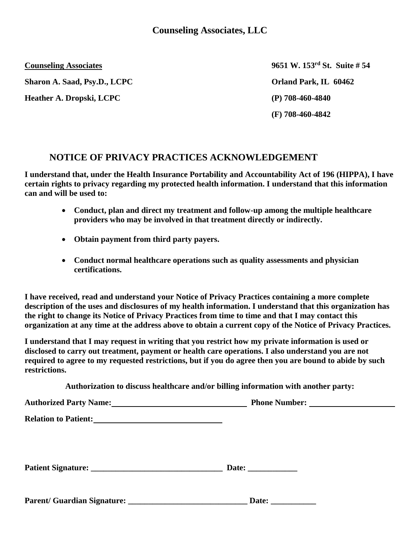**Sharon A. Saad, Psy.D., LCPC Orland Park, IL 60462** 

**Heather A. Dropski, LCPC (P) 708-460-4840**

**Counseling Associates 9651 W. 153<sup>rd</sup> St. Suite # 54 (F) 708-460-4842**

## **NOTICE OF PRIVACY PRACTICES ACKNOWLEDGEMENT**

**I understand that, under the Health Insurance Portability and Accountability Act of 196 (HIPPA), I have certain rights to privacy regarding my protected health information. I understand that this information can and will be used to:**

- **Conduct, plan and direct my treatment and follow-up among the multiple healthcare providers who may be involved in that treatment directly or indirectly.**
- **Obtain payment from third party payers.**
- **Conduct normal healthcare operations such as quality assessments and physician certifications.**

**I have received, read and understand your Notice of Privacy Practices containing a more complete description of the uses and disclosures of my health information. I understand that this organization has the right to change its Notice of Privacy Practices from time to time and that I may contact this organization at any time at the address above to obtain a current copy of the Notice of Privacy Practices.** 

**I understand that I may request in writing that you restrict how my private information is used or disclosed to carry out treatment, payment or health care operations. I also understand you are not required to agree to my requested restrictions, but if you do agree then you are bound to abide by such restrictions.** 

**Authorization to discuss healthcare and/or billing information with another party:**

| Authorized Party Name:<br><u>Letter and the set of the set of the set of the set of the set of the set of the set of the set of the set of the set of the set of the set of the set of the set of the set of the set of the set of</u> |                                                       |  |
|----------------------------------------------------------------------------------------------------------------------------------------------------------------------------------------------------------------------------------------|-------------------------------------------------------|--|
|                                                                                                                                                                                                                                        |                                                       |  |
|                                                                                                                                                                                                                                        | Date: $\qquad \qquad$                                 |  |
| Parent/ Guardian Signature:                                                                                                                                                                                                            | Date:<br><u> 1999 - Albert Store, ameri</u> kansk kon |  |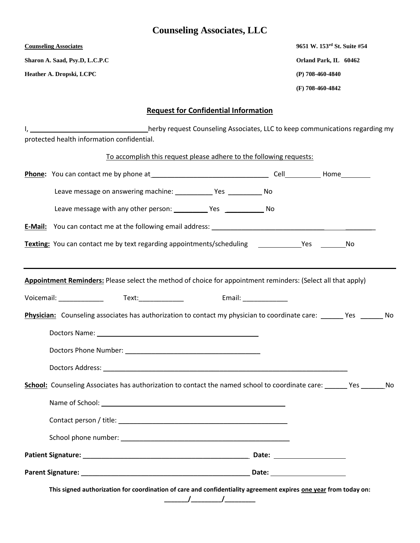## **Counseling Associates, LLC**

**Sharon A. Saad, Psy.D, L.C.P.C Orland Park, IL 60462**

**Heather A. Dropski, LCPC (P) 708-460-4840**

**Counseling Associates 9651 W. 153rd St. Suite #54 (F) 708-460-4842**

## **Request for Confidential Information**

I, 1. 1. 1. 1. herby request Counseling Associates, LLC to keep communications regarding my protected health information confidential.

| To accomplish this request please adhere to the following requests:                                                                                                                                                            |                          |  |
|--------------------------------------------------------------------------------------------------------------------------------------------------------------------------------------------------------------------------------|--------------------------|--|
|                                                                                                                                                                                                                                |                          |  |
|                                                                                                                                                                                                                                |                          |  |
|                                                                                                                                                                                                                                |                          |  |
|                                                                                                                                                                                                                                |                          |  |
| Texting: You can contact me by text regarding appointments/scheduling _______________Yes ___________No                                                                                                                         |                          |  |
|                                                                                                                                                                                                                                |                          |  |
| Appointment Reminders: Please select the method of choice for appointment reminders: (Select all that apply)                                                                                                                   |                          |  |
|                                                                                                                                                                                                                                | Email: New York Products |  |
| <b>Physician:</b> Counseling associates has authorization to contact my physician to coordinate care: ______ Yes _______ No                                                                                                    |                          |  |
|                                                                                                                                                                                                                                |                          |  |
|                                                                                                                                                                                                                                |                          |  |
|                                                                                                                                                                                                                                |                          |  |
| School: Counseling Associates has authorization to contact the named school to coordinate care: ______ Yes _______ No                                                                                                          |                          |  |
|                                                                                                                                                                                                                                |                          |  |
|                                                                                                                                                                                                                                |                          |  |
| School phone number: and the state of the state of the state of the state of the state of the state of the state of the state of the state of the state of the state of the state of the state of the state of the state of th |                          |  |
|                                                                                                                                                                                                                                |                          |  |
|                                                                                                                                                                                                                                |                          |  |
| This signed authorization for coordination of care and confidentiality agreement expires one year from today on:                                                                                                               |                          |  |

**\_\_\_\_\_\_\_/\_\_\_\_\_\_\_\_\_/\_\_\_\_\_\_\_\_\_**